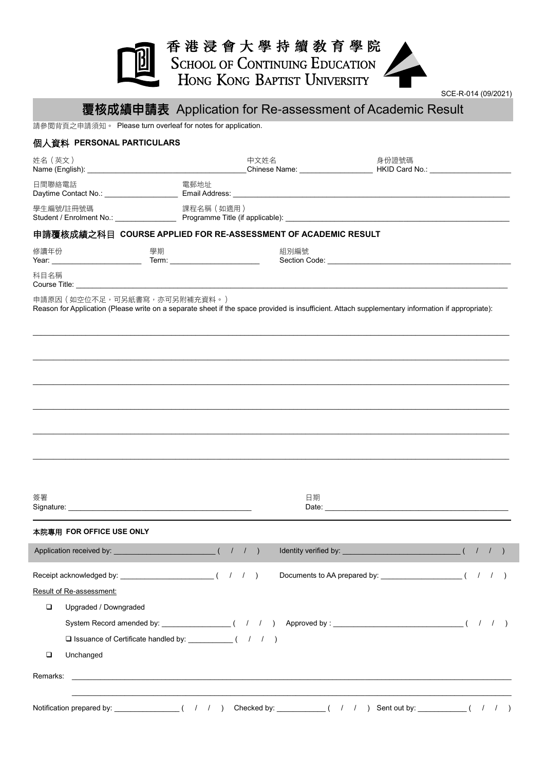## 香港浸會大學持續敎育學院 SCHOOL OF CONTINUING EDUCATION<br>HONG KONG BAPTIST UNIVERSITY



## 覆核成績申請表 Application for Re-assessment of Academic Result

請參閱背頁之申請須知。 Please turn overleaf for notes for application.

| 個人資料 PERSONAL PARTICULARS                                      |                               |                                                                                                             |      |
|----------------------------------------------------------------|-------------------------------|-------------------------------------------------------------------------------------------------------------|------|
| 姓名(英文)                                                         |                               | 中文姓名              身份證號碼<br>_Chinese Name: ______________________ HKID Card No.: ___________________________ |      |
| 日間聯絡電話                                                         | 電郵地址                          |                                                                                                             |      |
| 學生編號/註冊號碼                                                      | 課程名稱 (如適用)                    |                                                                                                             |      |
| 申請覆核成績之科目  COURSE APPLIED FOR RE-ASSESSMENT OF ACADEMIC RESULT |                               |                                                                                                             |      |
| 修讀年份<br>學期                                                     | 組別編號                          |                                                                                                             |      |
| 科目名稱                                                           |                               |                                                                                                             |      |
|                                                                |                               |                                                                                                             |      |
| 簽署<br>本院專用 FOR OFFICE USE ONLY                                 |                               | 日期                                                                                                          |      |
| Application received by: __________                            | ( / / ) Identity verified by: |                                                                                                             | (11) |
|                                                                |                               |                                                                                                             |      |
| Result of Re-assessment:                                       |                               |                                                                                                             |      |
| □<br>Upgraded / Downgraded                                     |                               |                                                                                                             |      |
|                                                                |                               |                                                                                                             |      |
| □ Issuance of Certificate handled by: ____________( / / / )    |                               |                                                                                                             |      |
| $\Box$<br>Unchanged                                            |                               |                                                                                                             |      |
| Remarks:                                                       |                               | <u> 1989 - Johann John Stone, mars and deutscher Stone (1989)</u>                                           |      |
|                                                                |                               |                                                                                                             |      |